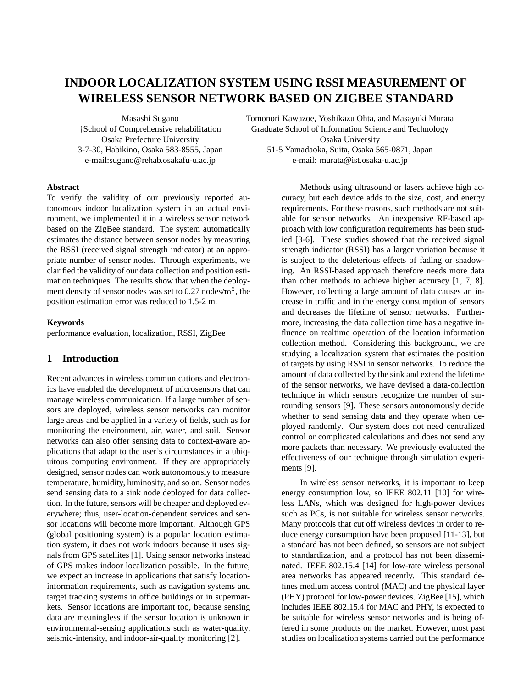# **INDOOR LOCALIZATION SYSTEM USING RSSI MEASUREMENT OF WIRELESS SENSOR NETWORK BASED ON ZIGBEE STANDARD**

Masashi Sugano

School of Comprehensive rehabilitation Osaka Prefecture University 3-7-30, Habikino, Osaka 583-8555, Japan e-mail:sugano@rehab.osakafu-u.ac.jp

Tomonori Kawazoe, Yoshikazu Ohta, and Masayuki Murata Graduate School of Information Science and Technology Osaka University 51-5 Yamadaoka, Suita, Osaka 565-0871, Japan e-mail: murata@ist.osaka-u.ac.jp

#### **Abstract**

To verify the validity of our previously reported autonomous indoor localization system in an actual environment, we implemented it in a wireless sensor network based on the ZigBee standard. The system automatically estimates the distance between sensor nodes by measuring the RSSI (received signal strength indicator) at an appropriate number of sensor nodes. Through experiments, we clarified the validity of our data collection and position estimation techniques. The results show that when the deployment density of sensor nodes was set to 0.27 nodes/ $m^2$ , the position estimation error was reduced to 1.5-2 m.

#### **Keywords**

performance evaluation, localization, RSSI, ZigBee

## **1 Introduction**

Recent advances in wireless communications and electronics have enabled the development of microsensors that can manage wireless communication. If a large number of sensors are deployed, wireless sensor networks can monitor large areas and be applied in a variety of fields, such as for monitoring the environment, air, water, and soil. Sensor networks can also offer sensing data to context-aware applications that adapt to the user's circumstances in a ubiquitous computing environment. If they are appropriately designed, sensor nodes can work autonomously to measure temperature, humidity, luminosity, and so on. Sensor nodes send sensing data to a sink node deployed for data collection. In the future, sensors will be cheaper and deployed everywhere; thus, user-location-dependent services and sensor locations will become more important. Although GPS (global positioning system) is a popular location estimation system, it does not work indoors because it uses signals from GPS satellites [1]. Using sensor networks instead of GPS makes indoor localization possible. In the future, we expect an increase in applications that satisfy locationinformation requirements, such as navigation systems and target tracking systems in office buildings or in supermarkets. Sensor locations are important too, because sensing data are meaningless if the sensor location is unknown in environmental-sensing applications such as water-quality, seismic-intensity, and indoor-air-quality monitoring [2].

Methods using ultrasound or lasers achieve high accuracy, but each device adds to the size, cost, and energy requirements. For these reasons, such methods are not suitable for sensor networks. An inexpensive RF-based approach with low configuration requirements has been studied [3-6]. These studies showed that the received signal strength indicator (RSSI) has a larger variation because it is subject to the deleterious effects of fading or shadowing. An RSSI-based approach therefore needs more data than other methods to achieve higher accuracy [1, 7, 8]. However, collecting a large amount of data causes an increase in traffic and in the energy consumption of sensors and decreases the lifetime of sensor networks. Furthermore, increasing the data collection time has a negative influence on realtime operation of the location information collection method. Considering this background, we are studying a localization system that estimates the position of targets by using RSSI in sensor networks. To reduce the amount of data collected by the sink and extend the lifetime of the sensor networks, we have devised a data-collection technique in which sensors recognize the number of surrounding sensors [9]. These sensors autonomously decide whether to send sensing data and they operate when deployed randomly. Our system does not need centralized control or complicated calculations and does not send any more packets than necessary. We previously evaluated the effectiveness of our technique through simulation experiments [9].

In wireless sensor networks, it is important to keep energy consumption low, so IEEE 802.11 [10] for wireless LANs, which was designed for high-power devices such as PCs, is not suitable for wireless sensor networks. Many protocols that cut off wireless devices in order to reduce energy consumption have been proposed [11-13], but a standard has not been defined, so sensors are not subject to standardization, and a protocol has not been disseminated. IEEE 802.15.4 [14] for low-rate wireless personal area networks has appeared recently. This standard defines medium access control (MAC) and the physical layer (PHY) protocol for low-power devices. ZigBee [15], which includes IEEE 802.15.4 for MAC and PHY, is expected to be suitable for wireless sensor networks and is being offered in some products on the market. However, most past studies on localization systems carried out the performance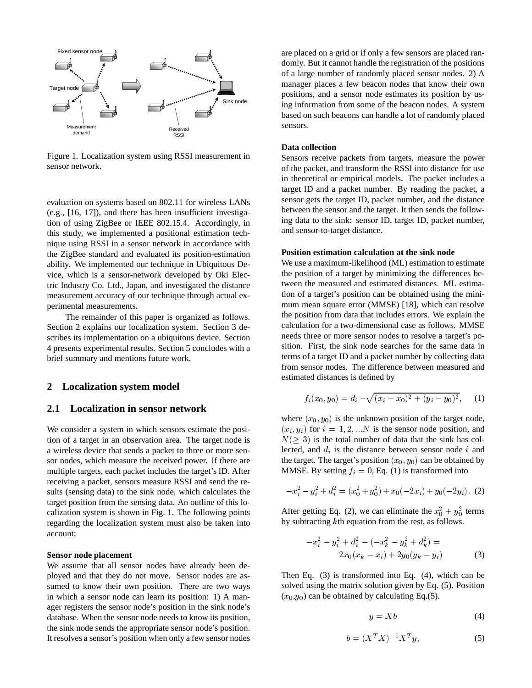

Figure 1. Localization system using RSSI measurement in sensor network.

evaluation on systems based on 802.11 for wireless LANs (e.g., [16, 17]), and there has been insufficient investigation of using ZigBee or IEEE 802.15.4. Accordingly, in this study, we implemented a positional estimation technique using RSSI in a sensor network in accordance with the ZigBee standard and evaluated its position-estimation ability. We implemented our technique in Ubiquitous Device, which is a sensor-network developed by Oki Electric Industry Co. Ltd., Japan, and investigated the distance measurement accuracy of our technique through actual experimental measurements.

The remainder of this paper is organized as follows. Section 2 explains our localization system. Section 3 describes its implementation on a ubiquitous device. Section 4 presents experimental results. Section 5 concludes with a brief summary and mentions future work.

## **2 Localization system model**

#### **2.1 Localization in sensor network**

We consider a system in which sensors estimate the position of a target in an observation area. The target node is a wireless device that sends a packet to three or more sensor nodes, which measure the received power. If there are multiple targets, each packet includes the target's ID. After receiving a packet, sensors measure RSSI and send the results (sensing data) to the sink node, which calculates the target position from the sensing data. An outline of this localization system is shown in Fig. 1. The following points regarding the localization system must also be taken into account:

#### **Sensor node placement**

We assume that all sensor nodes have already been deployed and that they do not move. Sensor nodes are assumed to know their own position. There are two ways in which a sensor node can learn its position: 1) A manager registers the sensor node's position in the sink node's database. When the sensor node needs to know its position, the sink node sends the appropriate sensor node's position. It resolves a sensor's position when only a few sensor nodes

are placed on a grid or if only a few sensors are placed randomly. But it cannot handle the registration of the positions of a large number of randomly placed sensor nodes. 2) A manager places a few beacon nodes that know their own positions, and a sensor node estimates its position by using information from some of the beacon nodes. A system based on such beacons can handle a lot of randomly placed sensors.

#### **Data collection**

Sensors receive packets from targets, measure the power of the packet, and transform the RSSI into distance for use in theoretical or empirical models. The packet includes a target ID and a packet number. By reading the packet, a sensor gets the target ID, packet number, and the distance between the sensor and the target. It then sends the following data to the sink: sensor ID, target ID, packet number, and sensor-to-target distance.

#### **Position estimation calculation at the sink node**

We use a maximum-likelihood (ML) estimation to estimate the position of a target by minimizing the differences between the measured and estimated distances. ML estimation of a target's position can be obtained using the minimum mean square error (MMSE) [18], which can resolve the position from data that includes errors. We explain the calculation for a two-dimensional case as follows. MMSE needs three or more sensor nodes to resolve a target's position. First, the sink node searches for the same data in terms of a target ID and a packet number by collecting data from sensor nodes. The difference between measured and estimated distances is defined by

$$
f_i(x_0, y_0) = d_i - \sqrt{(x_i - x_0)^2 + (y_i - y_0)^2}, \quad (1)
$$

where  $(x_0, y_0)$  is the unknown position of the target node,  $(x_i, y_i)$  for  $i = 1, 2, ...N$  is the sensor node position, and  $N(\geq 3)$  is the total number of data that the sink has collected, and  $d_i$  is the distance between sensor node  $i$  and the target. The target's position  $(x_0, y_0)$  can be obtained by MMSE. By setting  $f_i = 0$ , Eq. (1) is transformed into

$$
-x_i^2 - y_i^2 + d_i^2 = (x_0^2 + y_0^2) + x_0(-2x_i) + y_0(-2y_i). \tag{2}
$$

After getting Eq. (2), we can eliminate the  $x_0^2 + y_0^2$  terms by subtracting *k*th equation from the rest, as follows.

$$
-x_i^2 - y_i^2 + d_i^2 - (-x_k^2 - y_k^2 + d_k^2) =
$$
  
2x<sub>0</sub>(x<sub>k</sub> - x<sub>i</sub>) + 2y<sub>0</sub>(y<sub>k</sub> - y<sub>i</sub>) (3)

Then Eq. (3) is transformed into Eq. (4), which can be solved using the matrix solution given by Eq. (5). Position  $(x_0,y_0)$  can be obtained by calculating Eq.(5).

$$
y = Xb \tag{4}
$$

$$
b = (X^T X)^{-1} X^T y,\tag{5}
$$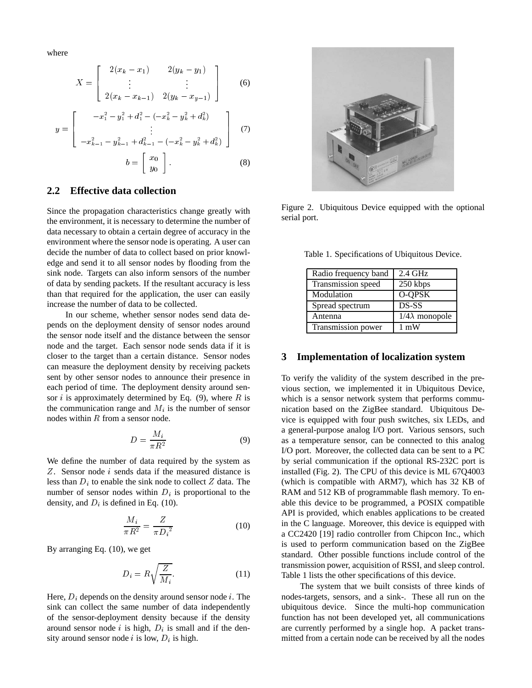where

$$
X = \begin{bmatrix} 2(x_k - x_1) & 2(y_k - y_1) \\ \vdots & \vdots \\ 2(x_k - x_{k-1}) & 2(y_k - x_{k-1}) \end{bmatrix}
$$
 (6)

$$
x_k^2 - y_k^2 + d_k^2) \qquad \bigg]
$$

$$
y = \begin{bmatrix} -x_1 - y_1 + a_1 - (-x_k - y_k + a_k) \\ \vdots \\ -x_{k-1}^2 - y_{k-1}^2 + d_{k-1}^2 - (-x_k^2 - y_k^2 + d_k^2) \end{bmatrix}
$$
(7)  

$$
b = \begin{bmatrix} x_0 \\ y_0 \end{bmatrix}
$$
(8)

## **2.2 Effective data collection**

-

Since the propagation characteristics change greatly with the environment, it is necessary to determine the number of data necessary to obtain a certain degree of accuracy in the environment where the sensor node is operating. A user can decide the number of data to collect based on prior knowledge and send it to all sensor nodes by flooding from the sink node. Targets can also inform sensors of the number of data by sending packets. If the resultant accuracy is less than that required for the application, the user can easily increase the number of data to be collected.

In our scheme, whether sensor nodes send data depends on the deployment density of sensor nodes around the sensor node itself and the distance between the sensor node and the target. Each sensor node sends data if it is closer to the target than a certain distance. Sensor nodes can measure the deployment density by receiving packets sent by other sensor nodes to announce their presence in each period of time. The deployment density around sensor *i* is approximately determined by Eq.  $(9)$ , where R is the communication range and  $M_i$  is the number of sensor nodes within  $R$  from a sensor node.

$$
D = \frac{M_i}{\pi R^2} \tag{9}
$$

We define the number of data required by the system as  $Z$ . Sensor node  $i$  sends data if the measured distance is less than  $D_i$  to enable the sink node to collect  $Z$  data. The number of sensor nodes within  $D_i$  is proportional to the density, and  $D_i$  is defined in Eq. (10).

$$
\frac{M_i}{\pi R^2} = \frac{Z}{\pi D_i^2} \tag{10}
$$

By arranging Eq. (10), we get

$$
D_i = R \sqrt{\frac{Z}{M_i}}.\t(11)
$$

Here,  $D_i$  depends on the density around sensor node i. The sink can collect the same number of data independently of the sensor-deployment density because if the density around sensor node *i* is high,  $D_i$  is small and if the density around sensor node *i* is low,  $D_i$  is high.



Figure 2. Ubiquitous Device equipped with the optional serial port.

Table 1. Specifications of Ubiquitous Device.

| Radio frequency band | $2.4$ GHz             |
|----------------------|-----------------------|
| Transmission speed   | 250 kbps              |
| Modulation           | O-QPSK                |
| Spread spectrum      | DS-SS                 |
| Antenna              | $1/4\lambda$ monopole |
| Transmission power   | $1 \text{ mW}$        |

#### **3 Implementation of localization system**

To verify the validity of the system described in the previous section, we implemented it in Ubiquitous Device, which is a sensor network system that performs communication based on the ZigBee standard. Ubiquitous Device is equipped with four push switches, six LEDs, and a general-purpose analog I/O port. Various sensors, such as a temperature sensor, can be connected to this analog I/O port. Moreover, the collected data can be sent to a PC by serial communication if the optional RS-232C port is installed (Fig. 2). The CPU of this device is ML 67Q4003 (which is compatible with ARM7), which has 32 KB of RAM and 512 KB of programmable flash memory. To enable this device to be programmed, a POSIX compatible API is provided, which enables applications to be created in the C language. Moreover, this device is equipped with a CC2420 [19] radio controller from Chipcon Inc., which is used to perform communication based on the ZigBee standard. Other possible functions include control of the transmission power, acquisition of RSSI, and sleep control. Table 1 lists the other specifications of this device.

The system that we built consists of three kinds of nodes-targets, sensors, and a sink-. These all run on the ubiquitous device. Since the multi-hop communication function has not been developed yet, all communications are currently performed by a single hop. A packet transmitted from a certain node can be received by all the nodes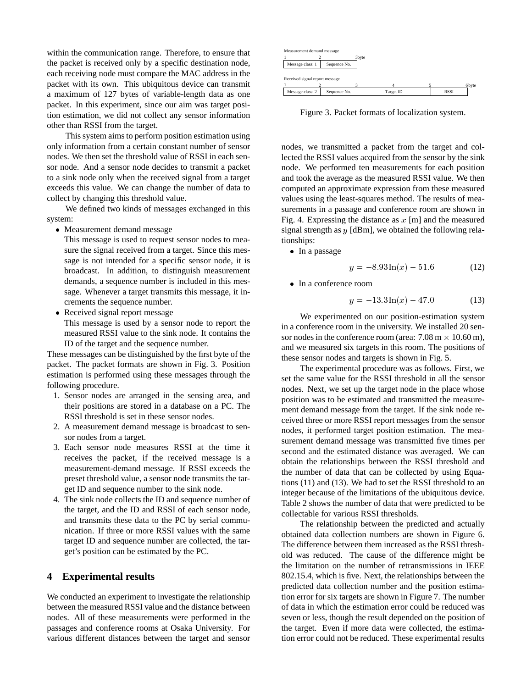within the communication range. Therefore, to ensure that the packet is received only by a specific destination node, each receiving node must compare the MAC address in the packet with its own. This ubiquitous device can transmit a maximum of 127 bytes of variable-length data as one packet. In this experiment, since our aim was target position estimation, we did not collect any sensor information other than RSSI from the target.

This system aims to perform position estimation using only information from a certain constant number of sensor nodes. We then set the threshold value of RSSI in each sensor node. And a sensor node decides to transmit a packet to a sink node only when the received signal from a target exceeds this value. We can change the number of data to collect by changing this threshold value.

We defined two kinds of messages exchanged in this system:

Measurement demand message

This message is used to request sensor nodes to measure the signal received from a target. Since this message is not intended for a specific sensor node, it is broadcast. In addition, to distinguish measurement demands, a sequence number is included in this message. Whenever a target transmits this message, it increments the sequence number.

• Received signal report message This message is used by a sensor node to report the measured RSSI value to the sink node. It contains the ID of the target and the sequence number.

These messages can be distinguished by the first byte of the packet. The packet formats are shown in Fig. 3. Position estimation is performed using these messages through the following procedure.

- 1. Sensor nodes are arranged in the sensing area, and their positions are stored in a database on a PC. The RSSI threshold is set in these sensor nodes.
- 2. A measurement demand message is broadcast to sensor nodes from a target.
- 3. Each sensor node measures RSSI at the time it receives the packet, if the received message is a measurement-demand message. If RSSI exceeds the preset threshold value, a sensor node transmits the target ID and sequence number to the sink node.
- 4. The sink node collects the ID and sequence number of the target, and the ID and RSSI of each sensor node, and transmits these data to the PC by serial communication. If three or more RSSI values with the same target ID and sequence number are collected, the target's position can be estimated by the PC.

## **4 Experimental results**

We conducted an experiment to investigate the relationship between the measured RSSI value and the distance between nodes. All of these measurements were performed in the passages and conference rooms at Osaka University. For various different distances between the target and sensor



Figure 3. Packet formats of localization system.

nodes, we transmitted a packet from the target and collected the RSSI values acquired from the sensor by the sink node. We performed ten measurements for each position and took the average as the measured RSSI value. We then computed an approximate expression from these measured values using the least-squares method. The results of measurements in a passage and conference room are shown in Fig. 4. Expressing the distance as  $x \text{ [m]}$  and the measured signal strength as  $y$  [dBm], we obtained the following relationships:

• In a passage

$$
y = -8.93 \ln(x) - 51.6 \tag{12}
$$

• In a conference room

$$
y = -13.3 \ln(x) - 47.0 \tag{13}
$$

We experimented on our position-estimation system in a conference room in the university. We installed 20 sensor nodes in the conference room (area:  $7.08 \text{ m} \times 10.60 \text{ m}$ ), and we measured six targets in this room. The positions of these sensor nodes and targets is shown in Fig. 5.

The experimental procedure was as follows. First, we set the same value for the RSSI threshold in all the sensor nodes. Next, we set up the target node in the place whose position was to be estimated and transmitted the measurement demand message from the target. If the sink node received three or more RSSI report messages from the sensor nodes, it performed target position estimation. The measurement demand message was transmitted five times per second and the estimated distance was averaged. We can obtain the relationships between the RSSI threshold and the number of data that can be collected by using Equations (11) and (13). We had to set the RSSI threshold to an integer because of the limitations of the ubiquitous device. Table 2 shows the number of data that were predicted to be collectable for various RSSI thresholds.

The relationship between the predicted and actually obtained data collection numbers are shown in Figure 6. The difference between them increased as the RSSI threshold was reduced. The cause of the difference might be the limitation on the number of retransmissions in IEEE 802.15.4, which is five. Next, the relationships between the predicted data collection number and the position estimation error for six targets are shown in Figure 7. The number of data in which the estimation error could be reduced was seven or less, though the result depended on the position of the target. Even if more data were collected, the estimation error could not be reduced. These experimental results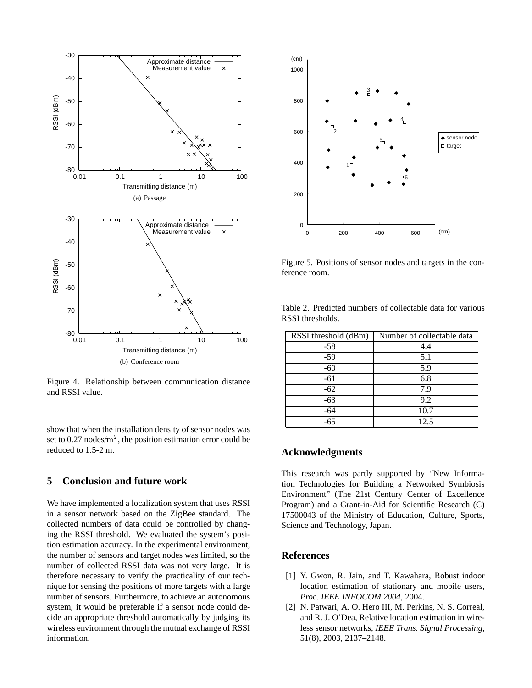

Figure 4. Relationship between communication distance and RSSI value.

show that when the installation density of sensor nodes was set to 0.27 nodes/ $m^2$ , the position estimation error could be reduced to 1.5-2 m.

## **5 Conclusion and future work**

We have implemented a localization system that uses RSSI in a sensor network based on the ZigBee standard. The collected numbers of data could be controlled by changing the RSSI threshold. We evaluated the system's position estimation accuracy. In the experimental environment, the number of sensors and target nodes was limited, so the number of collected RSSI data was not very large. It is therefore necessary to verify the practicality of our technique for sensing the positions of more targets with a large number of sensors. Furthermore, to achieve an autonomous system, it would be preferable if a sensor node could decide an appropriate threshold automatically by judging its wireless environment through the mutual exchange of RSSI information.



Figure 5. Positions of sensor nodes and targets in the conference room.

| RSSI threshold (dBm) | Number of collectable data |
|----------------------|----------------------------|
| $-58$                | 4.4                        |
| $-59$                | 5.1                        |
| $-60$                | 5.9                        |
| $-61$                | 6.8                        |
| $-62$                | 7.9                        |
| $-63$                | 9.2                        |
| -64                  | 10.7                       |
| -65                  | 12.5                       |

Table 2. Predicted numbers of collectable data for various RSSI thresholds.

## **Acknowledgments**

This research was partly supported by "New Information Technologies for Building a Networked Symbiosis Environment" (The 21st Century Center of Excellence Program) and a Grant-in-Aid for Scientific Research (C) 17500043 of the Ministry of Education, Culture, Sports, Science and Technology, Japan.

### **References**

- [1] Y. Gwon, R. Jain, and T. Kawahara, Robust indoor location estimation of stationary and mobile users, *Proc. IEEE INFOCOM 2004*, 2004.
- [2] N. Patwari, A. O. Hero III, M. Perkins, N. S. Correal, and R. J. O'Dea, Relative location estimation in wireless sensor networks, *IEEE Trans. Signal Processing*, 51(8), 2003, 2137–2148.